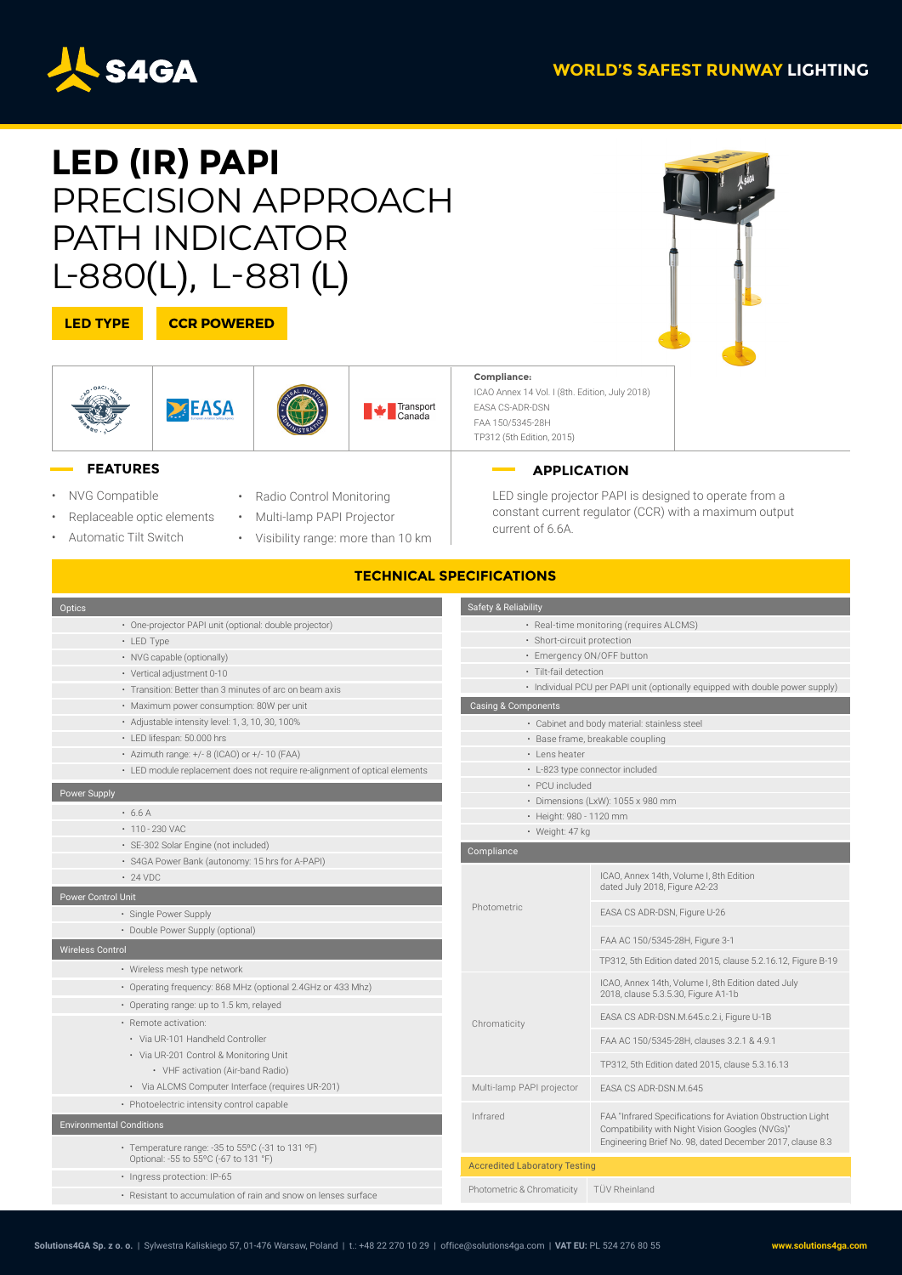

# **LED (IR) PAPI** PRECISION APPROACH PATH INDICATOR L-880(L), L-881 (L)

### **LED TYPE**



 $\Sigma$ EASA



Transport<br>Canada

**Compliance:** ICAO Annex 14 Vol. I (8th. Edition, July 2018) EASA CS-ADR-DSN FAA 150/5345-28H TP312 (5th Edition, 2015)

### **FEATURES**

- NVG Compatible
- Replaceable optic elements
- Automatic Tilt Switch
- Radio Control Monitoring
- Multi-lamp PAPI Projector
- Visibility range: more than 10 km

## **APPLICATION**

LED single projector PAPI is designed to operate from a constant current regulator (CCR) with a maximum output current of 6.6A.

### **TECHNICAL SPECIFICATIONS**

| Optics                                                                                    | Safety & Reliability                                                                              |                                                                                                                |  |  |  |  |
|-------------------------------------------------------------------------------------------|---------------------------------------------------------------------------------------------------|----------------------------------------------------------------------------------------------------------------|--|--|--|--|
| · One-projector PAPI unit (optional: double projector)                                    | · Real-time monitoring (requires ALCMS)                                                           |                                                                                                                |  |  |  |  |
| • LED Type                                                                                | · Short-circuit protection                                                                        |                                                                                                                |  |  |  |  |
| • NVG capable (optionally)                                                                | · Emergency ON/OFF button                                                                         |                                                                                                                |  |  |  |  |
| · Vertical adjustment 0-10                                                                | · Tilt-fail detection                                                                             |                                                                                                                |  |  |  |  |
| • Transition: Better than 3 minutes of arc on beam axis                                   | • Individual PCU per PAPI unit (optionally equipped with double power supply)                     |                                                                                                                |  |  |  |  |
| · Maximum power consumption: 80W per unit                                                 | Casing & Components                                                                               |                                                                                                                |  |  |  |  |
| · Adjustable intensity level: 1, 3, 10, 30, 100%                                          | · Cabinet and body material: stainless steel                                                      |                                                                                                                |  |  |  |  |
| · LED lifespan: 50.000 hrs                                                                | · Base frame, breakable coupling                                                                  |                                                                                                                |  |  |  |  |
| • Azimuth range: +/- 8 (ICAO) or +/- 10 (FAA)                                             | • Lens heater                                                                                     |                                                                                                                |  |  |  |  |
| • LED module replacement does not require re-alignment of optical elements                | • L-823 type connector included                                                                   |                                                                                                                |  |  |  |  |
| Power Supply                                                                              | · PCU included                                                                                    |                                                                                                                |  |  |  |  |
| $+6.6A$                                                                                   | · Dimensions (LxW): 1055 x 980 mm                                                                 |                                                                                                                |  |  |  |  |
| $\cdot$ 110 - 230 VAC                                                                     | · Height: 980 - 1120 mm<br>· Weight: 47 kg                                                        |                                                                                                                |  |  |  |  |
| · SE-302 Solar Engine (not included)                                                      |                                                                                                   |                                                                                                                |  |  |  |  |
| · S4GA Power Bank (autonomy: 15 hrs for A-PAPI)                                           | Compliance                                                                                        |                                                                                                                |  |  |  |  |
| $\cdot$ 24 VDC                                                                            |                                                                                                   | ICAO, Annex 14th, Volume I, 8th Edition<br>dated July 2018, Figure A2-23                                       |  |  |  |  |
| <b>Power Control Unit</b>                                                                 | Photometric                                                                                       |                                                                                                                |  |  |  |  |
| · Single Power Supply                                                                     |                                                                                                   | EASA CS ADR-DSN, Figure U-26                                                                                   |  |  |  |  |
| • Double Power Supply (optional)<br><b>Wireless Control</b>                               |                                                                                                   | FAA AC 150/5345-28H, Figure 3-1                                                                                |  |  |  |  |
| • Wireless mesh type network                                                              |                                                                                                   | TP312, 5th Edition dated 2015, clause 5.2.16.12, Figure B-19                                                   |  |  |  |  |
| • Operating frequency: 868 MHz (optional 2.4GHz or 433 Mhz)                               |                                                                                                   | ICAO, Annex 14th, Volume I, 8th Edition dated July<br>2018, clause 5.3.5.30, Figure A1-1b                      |  |  |  |  |
| • Operating range: up to 1.5 km, relayed                                                  |                                                                                                   |                                                                                                                |  |  |  |  |
| · Remote activation:                                                                      | Chromaticity                                                                                      | EASA CS ADR-DSN.M.645.c.2.i, Figure U-1B                                                                       |  |  |  |  |
| • Via UR-101 Handheld Controller                                                          |                                                                                                   | FAA AC 150/5345-28H, clauses 3.2.1 & 4.9.1                                                                     |  |  |  |  |
| • Via UR-201 Control & Monitoring Unit<br>• VHF activation (Air-band Radio)               |                                                                                                   | TP312, 5th Edition dated 2015, clause 5.3.16.13                                                                |  |  |  |  |
| · Via ALCMS Computer Interface (requires UR-201)                                          | Multi-lamp PAPI projector                                                                         | EASA CS ADR-DSN.M.645                                                                                          |  |  |  |  |
| • Photoelectric intensity control capable                                                 |                                                                                                   |                                                                                                                |  |  |  |  |
| <b>Environmental Conditions</b>                                                           | Infrared                                                                                          | FAA "Infrared Specifications for Aviation Obstruction Light<br>Compatibility with Night Vision Googles (NVGs)" |  |  |  |  |
| • Temperature range: -35 to 55°C (-31 to 131 °F)<br>Optional: -55 to 55°C (-67 to 131 °F) | Engineering Brief No. 98, dated December 2017, clause 8.3<br><b>Accredited Laboratory Testing</b> |                                                                                                                |  |  |  |  |
| · Ingress protection: IP-65                                                               |                                                                                                   |                                                                                                                |  |  |  |  |
| • Resistant to accumulation of rain and snow on lenses surface                            | Photometric & Chromaticity                                                                        | TÜV Rheinland                                                                                                  |  |  |  |  |